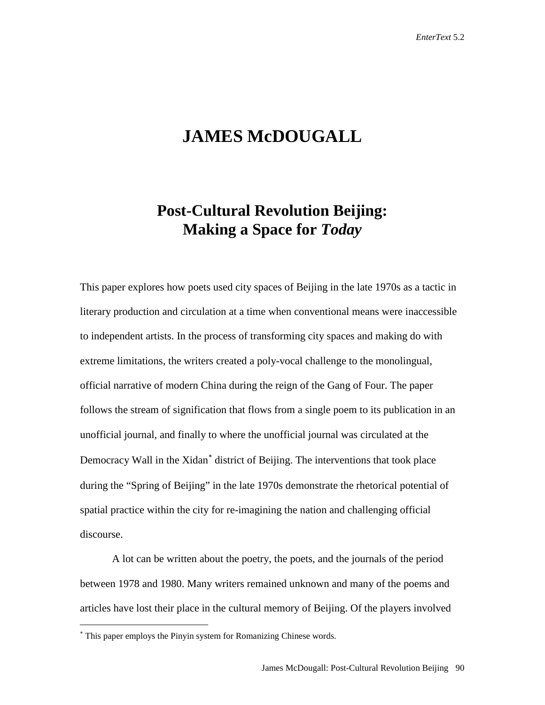# **JAMES McDOUGALL**

## **Post-Cultural Revolution Beijing: Making a Space for** *Today*

This paper explores how poets used city spaces of Beijing in the late 1970s as a tactic in literary production and circulation at a time when conventional means were inaccessible to independent artists. In the process of transforming city spaces and making do with extreme limitations, the writers created a poly-vocal challenge to the monolingual, official narrative of modern China during the reign of the Gang of Four. The paper follows the stream of signification that flows from a single poem to its publication in an unofficial journal, and finally to where the unofficial journal was circulated at the Democracy Wall in the Xidan<sup>[∗](#page-0-0)</sup> district of Beijing. The interventions that took place during the "Spring of Beijing" in the late 1970s demonstrate the rhetorical potential of spatial practice within the city for re-imagining the nation and challenging official discourse.

A lot can be written about the poetry, the poets, and the journals of the period between 1978 and 1980. Many writers remained unknown and many of the poems and articles have lost their place in the cultural memory of Beijing. Of the players involved

 $\overline{a}$ 

<span id="page-0-0"></span><sup>∗</sup> This paper employs the Pinyin system for Romanizing Chinese words.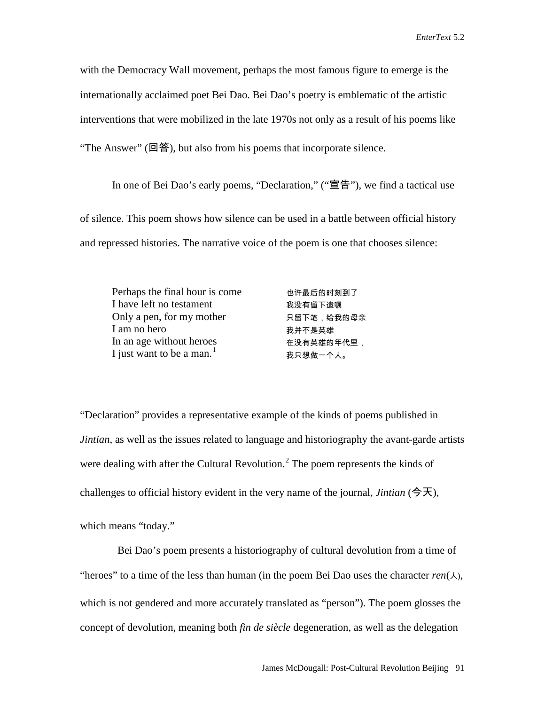with the Democracy Wall movement, perhaps the most famous figure to emerge is the internationally acclaimed poet Bei Dao. Bei Dao's poetry is emblematic of the artistic interventions that were mobilized in the late 1970s not only as a result of his poems like "The Answer" (回答), but also from his poems that incorporate silence.

In one of Bei Dao's early poems, "Declaration," ("宣告"), we find a tactical use of silence. This poem shows how silence can be used in a battle between official history and repressed histories. The narrative voice of the poem is one that chooses silence:

| Perhaps the final hour is come | 也许最后的时刻到了  |
|--------------------------------|------------|
| I have left no testament       | 我没有留下遗嘱    |
| Only a pen, for my mother      | 只留下笔,给我的母亲 |
| I am no hero                   | 我并不是英雄     |
| In an age without heroes       | 在没有英雄的年代里, |
| I just want to be a man. $1$   | 我只想做一个人。   |

"Declaration" provides a representative example of the kinds of poems published in *Jintian*, as well as the issues related to language and historiography the avant-garde artists were dealing with after the Cultural Revolution.<sup>[2](#page-25-1)</sup> The poem represents the kinds of challenges to official history evident in the very name of the journal, *Jintian* (今天),

which means "today."

 Bei Dao's poem presents a historiography of cultural devolution from a time of "heroes" to a time of the less than human (in the poem Bei Dao uses the character  $ren(\lambda)$ , which is not gendered and more accurately translated as "person"). The poem glosses the concept of devolution, meaning both *fin de siècle* degeneration, as well as the delegation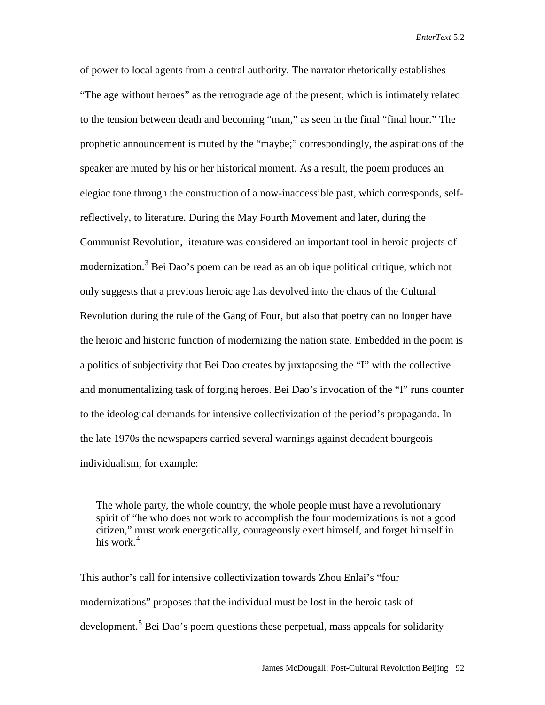of power to local agents from a central authority. The narrator rhetorically establishes "The age without heroes" as the retrograde age of the present, which is intimately related to the tension between death and becoming "man," as seen in the final "final hour." The prophetic announcement is muted by the "maybe;" correspondingly, the aspirations of the speaker are muted by his or her historical moment. As a result, the poem produces an elegiac tone through the construction of a now-inaccessible past, which corresponds, selfreflectively, to literature. During the May Fourth Movement and later, during the Communist Revolution, literature was considered an important tool in heroic projects of modernization.<sup>[3](#page-26-0)</sup> Bei Dao's poem can be read as an oblique political critique, which not only suggests that a previous heroic age has devolved into the chaos of the Cultural Revolution during the rule of the Gang of Four, but also that poetry can no longer have the heroic and historic function of modernizing the nation state. Embedded in the poem is a politics of subjectivity that Bei Dao creates by juxtaposing the "I" with the collective and monumentalizing task of forging heroes. Bei Dao's invocation of the "I" runs counter to the ideological demands for intensive collectivization of the period's propaganda. In the late 1970s the newspapers carried several warnings against decadent bourgeois individualism, for example:

The whole party, the whole country, the whole people must have a revolutionary spirit of "he who does not work to accomplish the four modernizations is not a good citizen," must work energetically, courageously exert himself, and forget himself in his work. $4$ 

This author's call for intensive collectivization towards Zhou Enlai's "four modernizations" proposes that the individual must be lost in the heroic task of development.<sup>[5](#page-26-2)</sup> Bei Dao's poem questions these perpetual, mass appeals for solidarity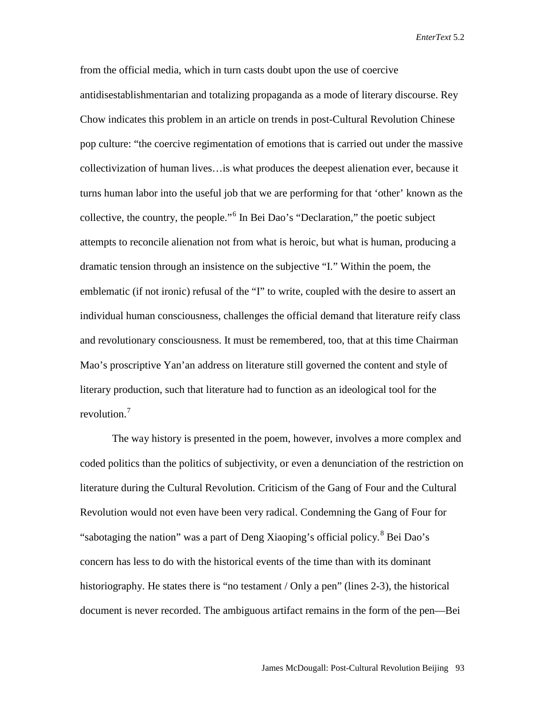from the official media, which in turn casts doubt upon the use of coercive antidisestablishmentarian and totalizing propaganda as a mode of literary discourse. Rey Chow indicates this problem in an article on trends in post-Cultural Revolution Chinese pop culture: "the coercive regimentation of emotions that is carried out under the massive collectivization of human lives…is what produces the deepest alienation ever, because it turns human labor into the useful job that we are performing for that 'other' known as the collective, the country, the people."[6](#page-26-3) In Bei Dao's "Declaration," the poetic subject attempts to reconcile alienation not from what is heroic, but what is human, producing a dramatic tension through an insistence on the subjective "I." Within the poem, the emblematic (if not ironic) refusal of the "I" to write, coupled with the desire to assert an individual human consciousness, challenges the official demand that literature reify class and revolutionary consciousness. It must be remembered, too, that at this time Chairman Mao's proscriptive Yan'an address on literature still governed the content and style of literary production, such that literature had to function as an ideological tool for the revolution.<sup>[7](#page-26-4)</sup>

The way history is presented in the poem, however, involves a more complex and coded politics than the politics of subjectivity, or even a denunciation of the restriction on literature during the Cultural Revolution. Criticism of the Gang of Four and the Cultural Revolution would not even have been very radical. Condemning the Gang of Four for "sabotaging the nation" was a part of Deng Xiaoping's official policy. <sup>[8](#page-26-5)</sup> Bei Dao's concern has less to do with the historical events of the time than with its dominant historiography. He states there is "no testament / Only a pen" (lines 2-3), the historical document is never recorded. The ambiguous artifact remains in the form of the pen—Bei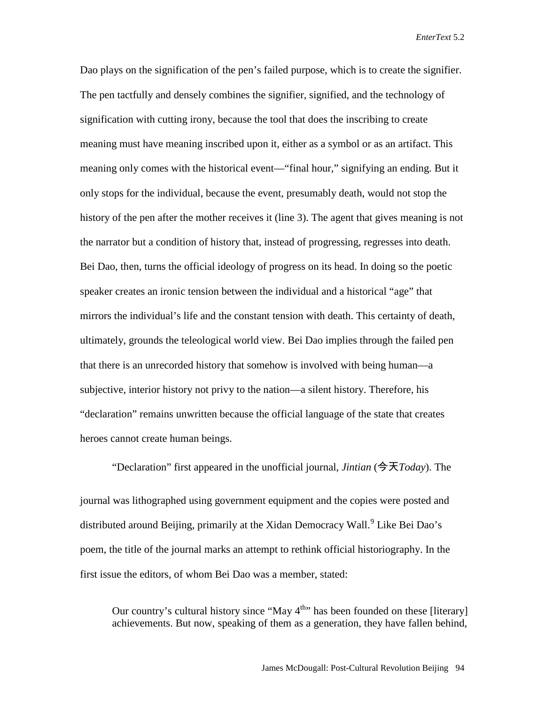Dao plays on the signification of the pen's failed purpose, which is to create the signifier. The pen tactfully and densely combines the signifier, signified, and the technology of signification with cutting irony, because the tool that does the inscribing to create meaning must have meaning inscribed upon it, either as a symbol or as an artifact. This meaning only comes with the historical event—"final hour," signifying an ending. But it only stops for the individual, because the event, presumably death, would not stop the history of the pen after the mother receives it (line 3). The agent that gives meaning is not the narrator but a condition of history that, instead of progressing, regresses into death. Bei Dao, then, turns the official ideology of progress on its head. In doing so the poetic speaker creates an ironic tension between the individual and a historical "age" that mirrors the individual's life and the constant tension with death. This certainty of death, ultimately, grounds the teleological world view. Bei Dao implies through the failed pen that there is an unrecorded history that somehow is involved with being human—a subjective, interior history not privy to the nation—a silent history. Therefore, his "declaration" remains unwritten because the official language of the state that creates heroes cannot create human beings.

"Declaration" first appeared in the unofficial journal, *Jintian* (今天*Today*). The journal was lithographed using government equipment and the copies were posted and distributed around Beijing, primarily at the Xidan Democracy Wall.<sup>[9](#page-26-6)</sup> Like Bei Dao's poem, the title of the journal marks an attempt to rethink official historiography. In the first issue the editors, of whom Bei Dao was a member, stated:

Our country's cultural history since "May  $4^{\text{th}}$ " has been founded on these [literary] achievements. But now, speaking of them as a generation, they have fallen behind,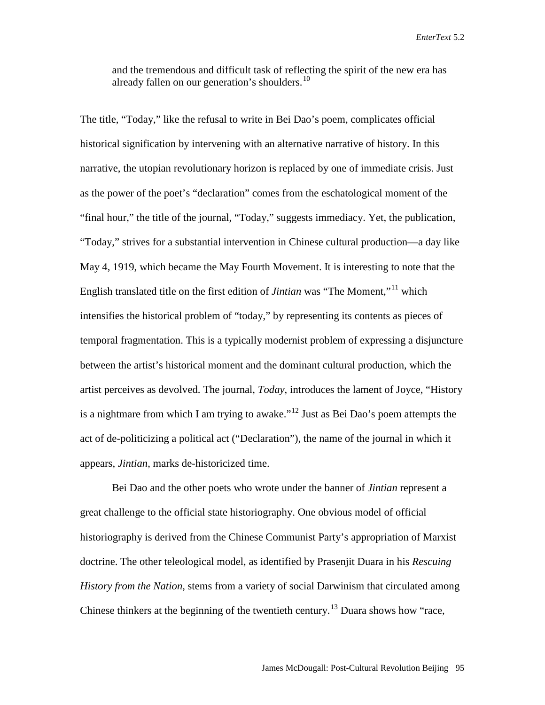and the tremendous and difficult task of reflecting the spirit of the new era has already fallen on our generation's shoulders. $^{10}$  $^{10}$  $^{10}$ 

The title, "Today," like the refusal to write in Bei Dao's poem, complicates official historical signification by intervening with an alternative narrative of history. In this narrative, the utopian revolutionary horizon is replaced by one of immediate crisis. Just as the power of the poet's "declaration" comes from the eschatological moment of the "final hour," the title of the journal, "Today," suggests immediacy. Yet, the publication, "Today," strives for a substantial intervention in Chinese cultural production—a day like May 4, 1919, which became the May Fourth Movement. It is interesting to note that the English translated title on the first edition of *Jintian* was "The Moment,"[11](#page-26-8) which intensifies the historical problem of "today," by representing its contents as pieces of temporal fragmentation. This is a typically modernist problem of expressing a disjuncture between the artist's historical moment and the dominant cultural production, which the artist perceives as devolved. The journal, *Today*, introduces the lament of Joyce, "History is a nightmare from which I am trying to awake."[12](#page-26-9) Just as Bei Dao's poem attempts the act of de-politicizing a political act ("Declaration"), the name of the journal in which it appears, *Jintian*, marks de-historicized time.

Bei Dao and the other poets who wrote under the banner of *Jintian* represent a great challenge to the official state historiography. One obvious model of official historiography is derived from the Chinese Communist Party's appropriation of Marxist doctrine. The other teleological model, as identified by Prasenjit Duara in his *Rescuing History from the Nation*, stems from a variety of social Darwinism that circulated among Chinese thinkers at the beginning of the twentieth century.<sup>[13](#page-26-10)</sup> Duara shows how "race,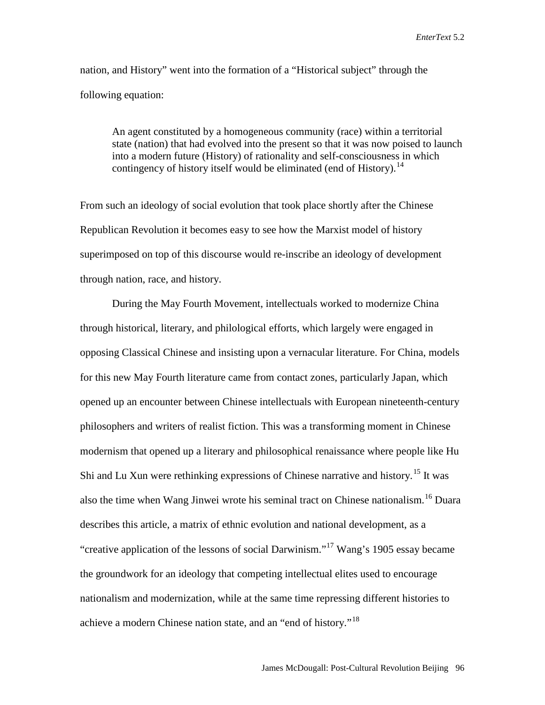nation, and History" went into the formation of a "Historical subject" through the following equation:

An agent constituted by a homogeneous community (race) within a territorial state (nation) that had evolved into the present so that it was now poised to launch into a modern future (History) of rationality and self-consciousness in which contingency of history itself would be eliminated (end of History).<sup>[14](#page-26-11)</sup>

From such an ideology of social evolution that took place shortly after the Chinese Republican Revolution it becomes easy to see how the Marxist model of history superimposed on top of this discourse would re-inscribe an ideology of development through nation, race, and history.

During the May Fourth Movement, intellectuals worked to modernize China through historical, literary, and philological efforts, which largely were engaged in opposing Classical Chinese and insisting upon a vernacular literature. For China, models for this new May Fourth literature came from contact zones, particularly Japan, which opened up an encounter between Chinese intellectuals with European nineteenth-century philosophers and writers of realist fiction. This was a transforming moment in Chinese modernism that opened up a literary and philosophical renaissance where people like Hu Shi and Lu Xun were rethinking expressions of Chinese narrative and history.<sup>[15](#page-26-12)</sup> It was also the time when Wang Jinwei wrote his seminal tract on Chinese nationalism.<sup>[16](#page-26-13)</sup> Duara describes this article, a matrix of ethnic evolution and national development, as a "creative application of the lessons of social Darwinism."<sup>[17](#page-26-14)</sup> Wang's 1905 essay became the groundwork for an ideology that competing intellectual elites used to encourage nationalism and modernization, while at the same time repressing different histories to achieve a modern Chinese nation state, and an "end of history."<sup>[18](#page-26-15)</sup>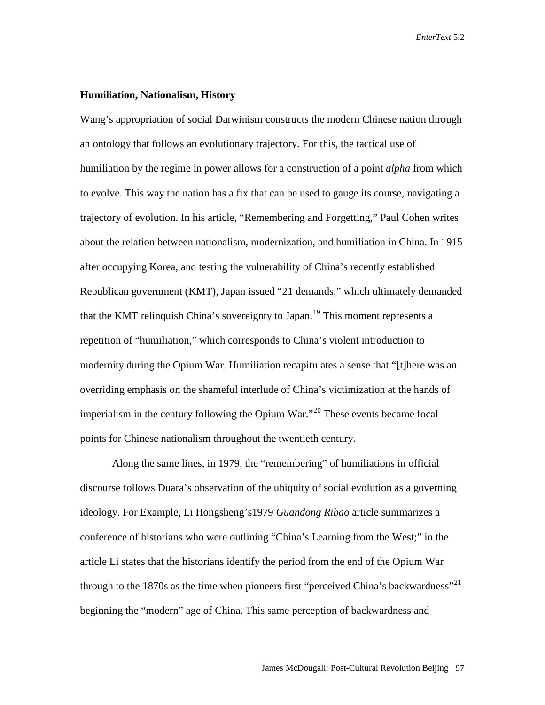#### **Humiliation, Nationalism, History**

Wang's appropriation of social Darwinism constructs the modern Chinese nation through an ontology that follows an evolutionary trajectory. For this, the tactical use of humiliation by the regime in power allows for a construction of a point *alpha* from which to evolve. This way the nation has a fix that can be used to gauge its course, navigating a trajectory of evolution. In his article, "Remembering and Forgetting," Paul Cohen writes about the relation between nationalism, modernization, and humiliation in China. In 1915 after occupying Korea, and testing the vulnerability of China's recently established Republican government (KMT), Japan issued "21 demands," which ultimately demanded that the KMT relinquish China's sovereignty to Japan.<sup>[19](#page-26-16)</sup> This moment represents a repetition of "humiliation," which corresponds to China's violent introduction to modernity during the Opium War. Humiliation recapitulates a sense that "[t]here was an overriding emphasis on the shameful interlude of China's victimization at the hands of imperialism in the century following the Opium War."[20](#page-26-17) These events became focal points for Chinese nationalism throughout the twentieth century.

Along the same lines, in 1979, the "remembering" of humiliations in official discourse follows Duara's observation of the ubiquity of social evolution as a governing ideology. For Example, Li Hongsheng's1979 *Guandong Ribao* article summarizes a conference of historians who were outlining "China's Learning from the West;" in the article Li states that the historians identify the period from the end of the Opium War through to the 1870s as the time when pioneers first "perceived China's backwardness"<sup>[21](#page-26-18)</sup> beginning the "modern" age of China. This same perception of backwardness and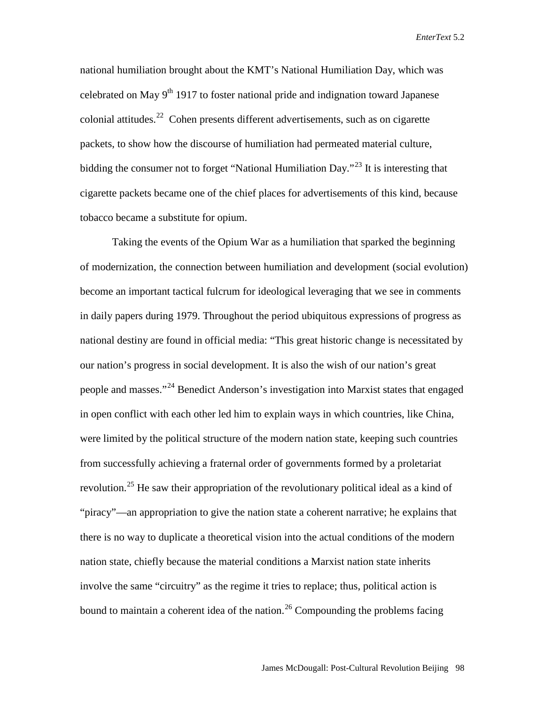national humiliation brought about the KMT's National Humiliation Day, which was celebrated on May  $9<sup>th</sup> 1917$  to foster national pride and indignation toward Japanese colonial attitudes.<sup>22</sup> Cohen presents different advertisements, such as on cigarette packets, to show how the discourse of humiliation had permeated material culture, bidding the consumer not to forget "National Humiliation Day."<sup>[23](#page-26-20)</sup> It is interesting that cigarette packets became one of the chief places for advertisements of this kind, because tobacco became a substitute for opium.

Taking the events of the Opium War as a humiliation that sparked the beginning of modernization, the connection between humiliation and development (social evolution) become an important tactical fulcrum for ideological leveraging that we see in comments in daily papers during 1979. Throughout the period ubiquitous expressions of progress as national destiny are found in official media: "This great historic change is necessitated by our nation's progress in social development. It is also the wish of our nation's great people and masses."<sup>[24](#page-26-21)</sup> Benedict Anderson's investigation into Marxist states that engaged in open conflict with each other led him to explain ways in which countries, like China, were limited by the political structure of the modern nation state, keeping such countries from successfully achieving a fraternal order of governments formed by a proletariat revolution.<sup>[25](#page-26-22)</sup> He saw their appropriation of the revolutionary political ideal as a kind of "piracy"—an appropriation to give the nation state a coherent narrative; he explains that there is no way to duplicate a theoretical vision into the actual conditions of the modern nation state, chiefly because the material conditions a Marxist nation state inherits involve the same "circuitry" as the regime it tries to replace; thus, political action is bound to maintain a coherent idea of the nation.<sup>[26](#page-26-23)</sup> Compounding the problems facing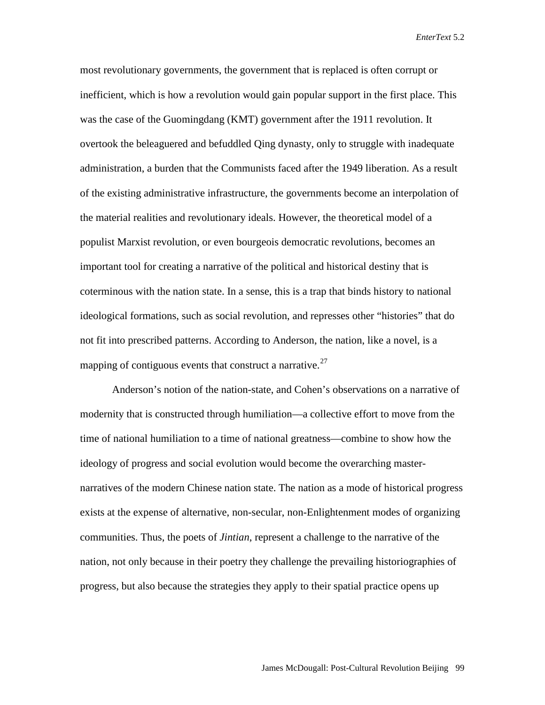most revolutionary governments, the government that is replaced is often corrupt or inefficient, which is how a revolution would gain popular support in the first place. This was the case of the Guomingdang (KMT) government after the 1911 revolution. It overtook the beleaguered and befuddled Qing dynasty, only to struggle with inadequate administration, a burden that the Communists faced after the 1949 liberation. As a result of the existing administrative infrastructure, the governments become an interpolation of the material realities and revolutionary ideals. However, the theoretical model of a populist Marxist revolution, or even bourgeois democratic revolutions, becomes an important tool for creating a narrative of the political and historical destiny that is coterminous with the nation state. In a sense, this is a trap that binds history to national ideological formations, such as social revolution, and represses other "histories" that do not fit into prescribed patterns. According to Anderson, the nation, like a novel, is a mapping of contiguous events that construct a narrative.<sup>[27](#page-26-24)</sup>

Anderson's notion of the nation-state, and Cohen's observations on a narrative of modernity that is constructed through humiliation—a collective effort to move from the time of national humiliation to a time of national greatness—combine to show how the ideology of progress and social evolution would become the overarching masternarratives of the modern Chinese nation state. The nation as a mode of historical progress exists at the expense of alternative, non-secular, non-Enlightenment modes of organizing communities. Thus, the poets of *Jintian*, represent a challenge to the narrative of the nation, not only because in their poetry they challenge the prevailing historiographies of progress, but also because the strategies they apply to their spatial practice opens up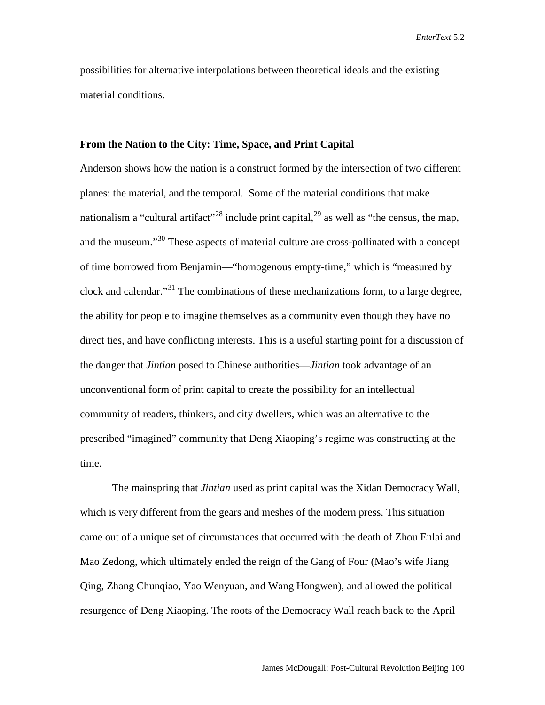possibilities for alternative interpolations between theoretical ideals and the existing material conditions.

#### **From the Nation to the City: Time, Space, and Print Capital**

Anderson shows how the nation is a construct formed by the intersection of two different planes: the material, and the temporal. Some of the material conditions that make nationalism a "cultural artifact"<sup>[28](#page-26-25)</sup> include print capital,<sup>[29](#page-26-26)</sup> as well as "the census, the map, and the museum."<sup>[30](#page-26-27)</sup> These aspects of material culture are cross-pollinated with a concept of time borrowed from Benjamin—"homogenous empty-time," which is "measured by clock and calendar."<sup>[31](#page-26-28)</sup> The combinations of these mechanizations form, to a large degree, the ability for people to imagine themselves as a community even though they have no direct ties, and have conflicting interests. This is a useful starting point for a discussion of the danger that *Jintian* posed to Chinese authorities—*Jintian* took advantage of an unconventional form of print capital to create the possibility for an intellectual community of readers, thinkers, and city dwellers, which was an alternative to the prescribed "imagined" community that Deng Xiaoping's regime was constructing at the time.

The mainspring that *Jintian* used as print capital was the Xidan Democracy Wall, which is very different from the gears and meshes of the modern press. This situation came out of a unique set of circumstances that occurred with the death of Zhou Enlai and Mao Zedong, which ultimately ended the reign of the Gang of Four (Mao's wife Jiang Qing, Zhang Chunqiao, Yao Wenyuan, and Wang Hongwen), and allowed the political resurgence of Deng Xiaoping. The roots of the Democracy Wall reach back to the April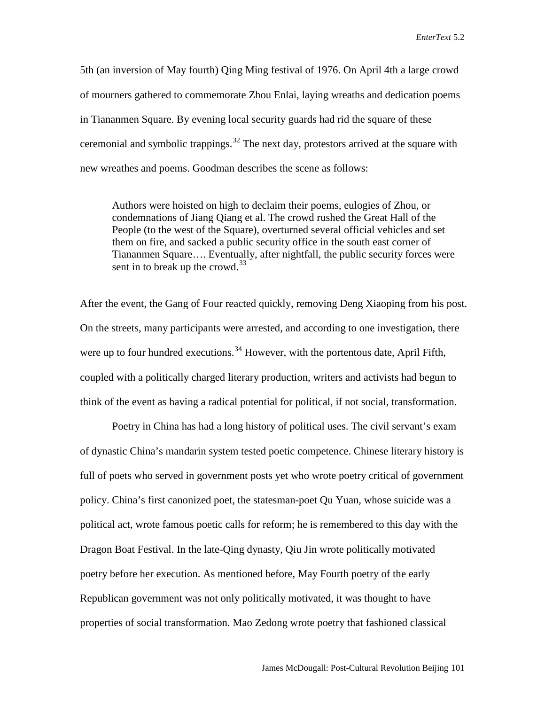5th (an inversion of May fourth) Qing Ming festival of 1976. On April 4th a large crowd of mourners gathered to commemorate Zhou Enlai, laying wreaths and dedication poems in Tiananmen Square. By evening local security guards had rid the square of these ceremonial and symbolic trappings.<sup>[32](#page-26-29)</sup> The next day, protestors arrived at the square with new wreathes and poems. Goodman describes the scene as follows:

Authors were hoisted on high to declaim their poems, eulogies of Zhou, or condemnations of Jiang Qiang et al. The crowd rushed the Great Hall of the People (to the west of the Square), overturned several official vehicles and set them on fire, and sacked a public security office in the south east corner of Tiananmen Square…. Eventually, after nightfall, the public security forces were sent in to break up the crowd. $33$ 

After the event, the Gang of Four reacted quickly, removing Deng Xiaoping from his post. On the streets, many participants were arrested, and according to one investigation, there were up to four hundred executions.<sup>[34](#page-26-31)</sup> However, with the portentous date, April Fifth, coupled with a politically charged literary production, writers and activists had begun to think of the event as having a radical potential for political, if not social, transformation.

Poetry in China has had a long history of political uses. The civil servant's exam of dynastic China's mandarin system tested poetic competence. Chinese literary history is full of poets who served in government posts yet who wrote poetry critical of government policy. China's first canonized poet, the statesman-poet Qu Yuan, whose suicide was a political act, wrote famous poetic calls for reform; he is remembered to this day with the Dragon Boat Festival. In the late-Qing dynasty, Qiu Jin wrote politically motivated poetry before her execution. As mentioned before, May Fourth poetry of the early Republican government was not only politically motivated, it was thought to have properties of social transformation. Mao Zedong wrote poetry that fashioned classical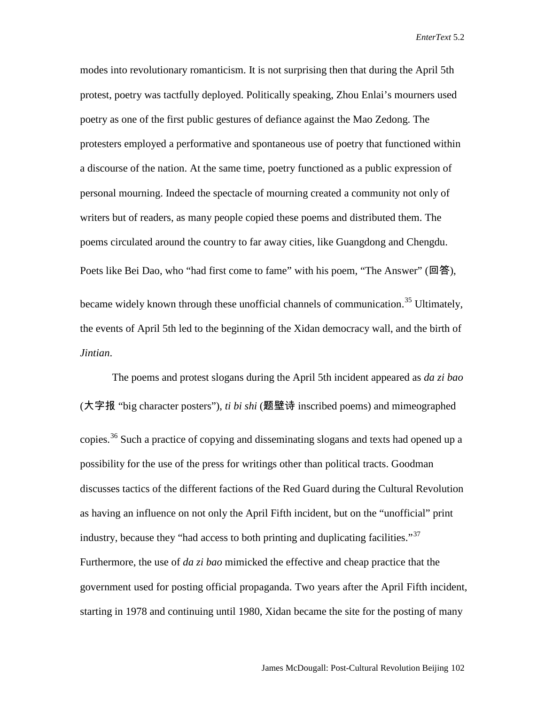modes into revolutionary romanticism. It is not surprising then that during the April 5th protest, poetry was tactfully deployed. Politically speaking, Zhou Enlai's mourners used poetry as one of the first public gestures of defiance against the Mao Zedong. The protesters employed a performative and spontaneous use of poetry that functioned within a discourse of the nation. At the same time, poetry functioned as a public expression of personal mourning. Indeed the spectacle of mourning created a community not only of writers but of readers, as many people copied these poems and distributed them. The poems circulated around the country to far away cities, like Guangdong and Chengdu. Poets like Bei Dao, who "had first come to fame" with his poem, "The Answer" (回答), became widely known through these unofficial channels of communication.<sup>[35](#page-26-32)</sup> Ultimately, the events of April 5th led to the beginning of the Xidan democracy wall, and the birth of *Jintian*.

The poems and protest slogans during the April 5th incident appeared as *da zi bao* (大字报 "big character posters"), *ti bi shi* (题壁诗 inscribed poems) and mimeographed copies.<sup>[36](#page-26-33)</sup> Such a practice of copying and disseminating slogans and texts had opened up a possibility for the use of the press for writings other than political tracts. Goodman discusses tactics of the different factions of the Red Guard during the Cultural Revolution as having an influence on not only the April Fifth incident, but on the "unofficial" print industry, because they "had access to both printing and duplicating facilities."<sup>[37](#page-26-34)</sup> Furthermore, the use of *da zi bao* mimicked the effective and cheap practice that the government used for posting official propaganda. Two years after the April Fifth incident, starting in 1978 and continuing until 1980, Xidan became the site for the posting of many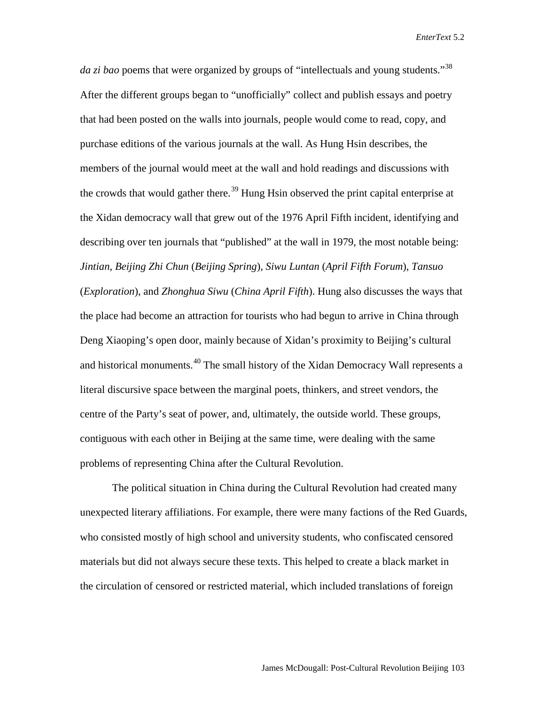*da zi bao* poems that were organized by groups of "intellectuals and young students."[38](#page-26-35) After the different groups began to "unofficially" collect and publish essays and poetry that had been posted on the walls into journals, people would come to read, copy, and purchase editions of the various journals at the wall. As Hung Hsin describes, the members of the journal would meet at the wall and hold readings and discussions with the crowds that would gather there.<sup>[39](#page-26-36)</sup> Hung Hsin observed the print capital enterprise at the Xidan democracy wall that grew out of the 1976 April Fifth incident, identifying and describing over ten journals that "published" at the wall in 1979, the most notable being: *Jintian*, *Beijing Zhi Chun* (*Beijing Spring*), *Siwu Luntan* (*April Fifth Forum*), *Tansuo* (*Exploration*), and *Zhonghua Siwu* (*China April Fifth*). Hung also discusses the ways that the place had become an attraction for tourists who had begun to arrive in China through Deng Xiaoping's open door, mainly because of Xidan's proximity to Beijing's cultural and historical monuments.<sup>[40](#page-26-37)</sup> The small history of the Xidan Democracy Wall represents a literal discursive space between the marginal poets, thinkers, and street vendors, the centre of the Party's seat of power, and, ultimately, the outside world. These groups, contiguous with each other in Beijing at the same time, were dealing with the same problems of representing China after the Cultural Revolution.

The political situation in China during the Cultural Revolution had created many unexpected literary affiliations. For example, there were many factions of the Red Guards, who consisted mostly of high school and university students, who confiscated censored materials but did not always secure these texts. This helped to create a black market in the circulation of censored or restricted material, which included translations of foreign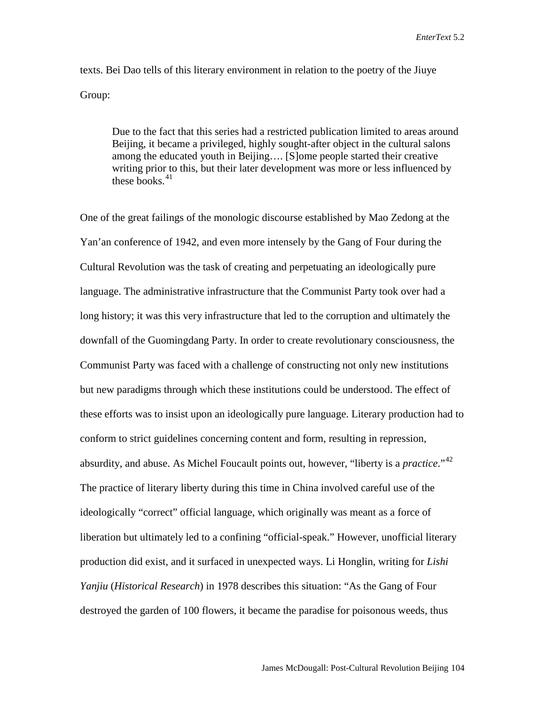texts. Bei Dao tells of this literary environment in relation to the poetry of the Jiuye Group:

Due to the fact that this series had a restricted publication limited to areas around Beijing, it became a privileged, highly sought-after object in the cultural salons among the educated youth in Beijing…. [S]ome people started their creative writing prior to this, but their later development was more or less influenced by these books. $41$ 

One of the great failings of the monologic discourse established by Mao Zedong at the Yan'an conference of 1942, and even more intensely by the Gang of Four during the Cultural Revolution was the task of creating and perpetuating an ideologically pure language. The administrative infrastructure that the Communist Party took over had a long history; it was this very infrastructure that led to the corruption and ultimately the downfall of the Guomingdang Party. In order to create revolutionary consciousness, the Communist Party was faced with a challenge of constructing not only new institutions but new paradigms through which these institutions could be understood. The effect of these efforts was to insist upon an ideologically pure language. Literary production had to conform to strict guidelines concerning content and form, resulting in repression, absurdity, and abuse. As Michel Foucault points out, however, "liberty is a *practice*."[42](#page-26-39) The practice of literary liberty during this time in China involved careful use of the ideologically "correct" official language, which originally was meant as a force of liberation but ultimately led to a confining "official-speak." However, unofficial literary production did exist, and it surfaced in unexpected ways. Li Honglin, writing for *Lishi Yanjiu* (*Historical Research*) in 1978 describes this situation: "As the Gang of Four destroyed the garden of 100 flowers, it became the paradise for poisonous weeds, thus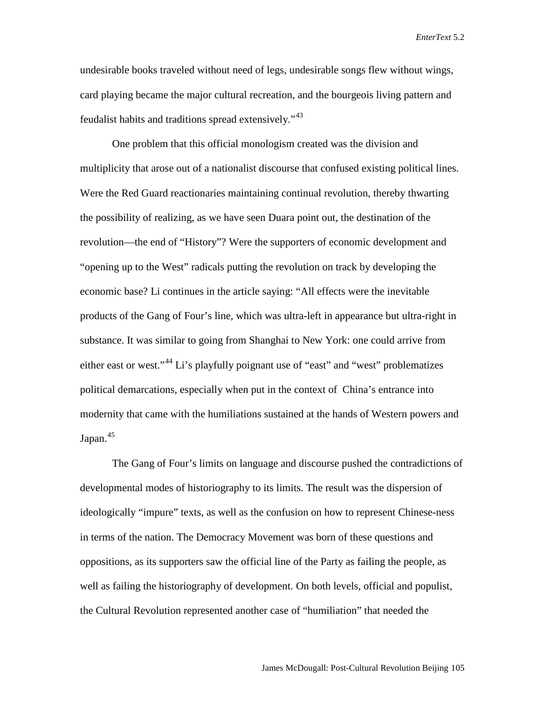undesirable books traveled without need of legs, undesirable songs flew without wings, card playing became the major cultural recreation, and the bourgeois living pattern and feudalist habits and traditions spread extensively."[43](#page-26-40)

One problem that this official monologism created was the division and multiplicity that arose out of a nationalist discourse that confused existing political lines. Were the Red Guard reactionaries maintaining continual revolution, thereby thwarting the possibility of realizing, as we have seen Duara point out, the destination of the revolution—the end of "History"? Were the supporters of economic development and "opening up to the West" radicals putting the revolution on track by developing the economic base? Li continues in the article saying: "All effects were the inevitable products of the Gang of Four's line, which was ultra-left in appearance but ultra-right in substance. It was similar to going from Shanghai to New York: one could arrive from either east or west."[44](#page-26-41) Li's playfully poignant use of "east" and "west" problematizes political demarcations, especially when put in the context of China's entrance into modernity that came with the humiliations sustained at the hands of Western powers and Japan. [45](#page-26-42)

The Gang of Four's limits on language and discourse pushed the contradictions of developmental modes of historiography to its limits. The result was the dispersion of ideologically "impure" texts, as well as the confusion on how to represent Chinese-ness in terms of the nation. The Democracy Movement was born of these questions and oppositions, as its supporters saw the official line of the Party as failing the people, as well as failing the historiography of development. On both levels, official and populist, the Cultural Revolution represented another case of "humiliation" that needed the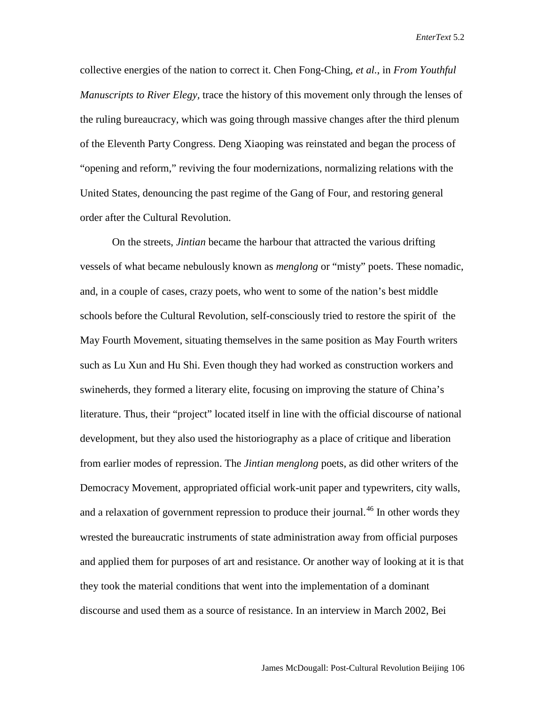collective energies of the nation to correct it. Chen Fong-Ching, *et al.*, in *From Youthful Manuscripts to River Elegy,* trace the history of this movement only through the lenses of the ruling bureaucracy, which was going through massive changes after the third plenum of the Eleventh Party Congress. Deng Xiaoping was reinstated and began the process of "opening and reform," reviving the four modernizations, normalizing relations with the United States, denouncing the past regime of the Gang of Four, and restoring general order after the Cultural Revolution.

On the streets, *Jintian* became the harbour that attracted the various drifting vessels of what became nebulously known as *menglong* or "misty" poets. These nomadic, and, in a couple of cases, crazy poets, who went to some of the nation's best middle schools before the Cultural Revolution, self-consciously tried to restore the spirit of the May Fourth Movement, situating themselves in the same position as May Fourth writers such as Lu Xun and Hu Shi. Even though they had worked as construction workers and swineherds, they formed a literary elite, focusing on improving the stature of China's literature. Thus, their "project" located itself in line with the official discourse of national development, but they also used the historiography as a place of critique and liberation from earlier modes of repression. The *Jintian menglong* poets, as did other writers of the Democracy Movement, appropriated official work-unit paper and typewriters, city walls, and a relaxation of government repression to produce their journal.<sup>[46](#page-26-43)</sup> In other words they wrested the bureaucratic instruments of state administration away from official purposes and applied them for purposes of art and resistance. Or another way of looking at it is that they took the material conditions that went into the implementation of a dominant discourse and used them as a source of resistance. In an interview in March 2002, Bei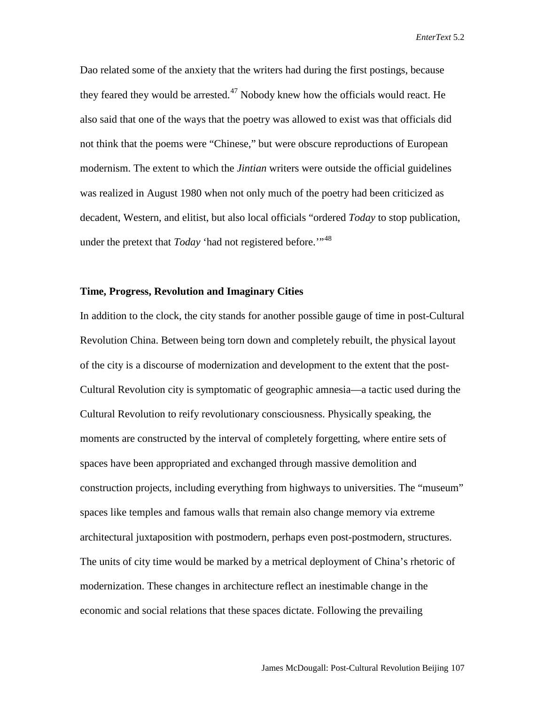Dao related some of the anxiety that the writers had during the first postings, because they feared they would be arrested.<sup>[47](#page-26-44)</sup> Nobody knew how the officials would react. He also said that one of the ways that the poetry was allowed to exist was that officials did not think that the poems were "Chinese," but were obscure reproductions of European modernism. The extent to which the *Jintian* writers were outside the official guidelines was realized in August 1980 when not only much of the poetry had been criticized as decadent, Western, and elitist, but also local officials "ordered *Today* to stop publication, under the pretext that *Today* 'had not registered before.'"<sup>[48](#page-26-45)</sup>

### **Time, Progress, Revolution and Imaginary Cities**

In addition to the clock, the city stands for another possible gauge of time in post-Cultural Revolution China. Between being torn down and completely rebuilt, the physical layout of the city is a discourse of modernization and development to the extent that the post-Cultural Revolution city is symptomatic of geographic amnesia—a tactic used during the Cultural Revolution to reify revolutionary consciousness. Physically speaking, the moments are constructed by the interval of completely forgetting, where entire sets of spaces have been appropriated and exchanged through massive demolition and construction projects, including everything from highways to universities. The "museum" spaces like temples and famous walls that remain also change memory via extreme architectural juxtaposition with postmodern, perhaps even post-postmodern, structures. The units of city time would be marked by a metrical deployment of China's rhetoric of modernization. These changes in architecture reflect an inestimable change in the economic and social relations that these spaces dictate. Following the prevailing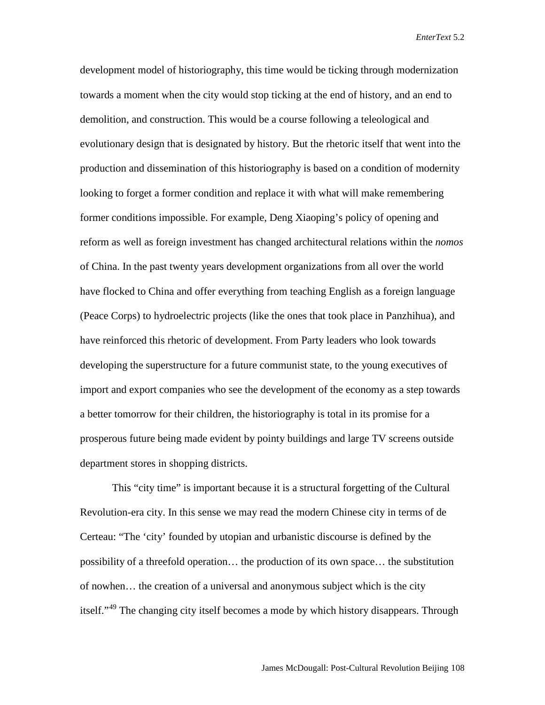development model of historiography, this time would be ticking through modernization towards a moment when the city would stop ticking at the end of history, and an end to demolition, and construction. This would be a course following a teleological and evolutionary design that is designated by history. But the rhetoric itself that went into the production and dissemination of this historiography is based on a condition of modernity looking to forget a former condition and replace it with what will make remembering former conditions impossible. For example, Deng Xiaoping's policy of opening and reform as well as foreign investment has changed architectural relations within the *nomos* of China. In the past twenty years development organizations from all over the world have flocked to China and offer everything from teaching English as a foreign language (Peace Corps) to hydroelectric projects (like the ones that took place in Panzhihua), and have reinforced this rhetoric of development. From Party leaders who look towards developing the superstructure for a future communist state, to the young executives of import and export companies who see the development of the economy as a step towards a better tomorrow for their children, the historiography is total in its promise for a prosperous future being made evident by pointy buildings and large TV screens outside department stores in shopping districts.

This "city time" is important because it is a structural forgetting of the Cultural Revolution-era city. In this sense we may read the modern Chinese city in terms of de Certeau: "The 'city' founded by utopian and urbanistic discourse is defined by the possibility of a threefold operation… the production of its own space… the substitution of nowhen… the creation of a universal and anonymous subject which is the city itself."<sup>[49](#page-26-46)</sup> The changing city itself becomes a mode by which history disappears. Through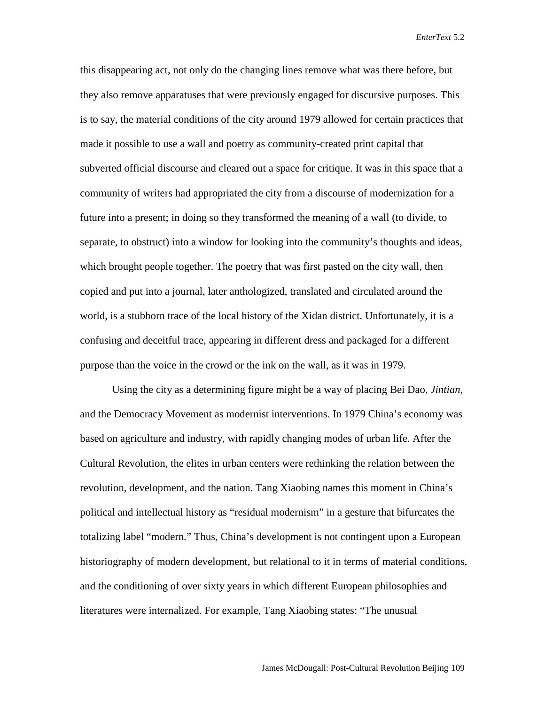this disappearing act, not only do the changing lines remove what was there before, but they also remove apparatuses that were previously engaged for discursive purposes. This is to say, the material conditions of the city around 1979 allowed for certain practices that made it possible to use a wall and poetry as community-created print capital that subverted official discourse and cleared out a space for critique. It was in this space that a community of writers had appropriated the city from a discourse of modernization for a future into a present; in doing so they transformed the meaning of a wall (to divide, to separate, to obstruct) into a window for looking into the community's thoughts and ideas, which brought people together. The poetry that was first pasted on the city wall, then copied and put into a journal, later anthologized, translated and circulated around the world, is a stubborn trace of the local history of the Xidan district. Unfortunately, it is a confusing and deceitful trace, appearing in different dress and packaged for a different purpose than the voice in the crowd or the ink on the wall, as it was in 1979.

Using the city as a determining figure might be a way of placing Bei Dao, *Jintian*, and the Democracy Movement as modernist interventions. In 1979 China's economy was based on agriculture and industry, with rapidly changing modes of urban life. After the Cultural Revolution, the elites in urban centers were rethinking the relation between the revolution, development, and the nation. Tang Xiaobing names this moment in China's political and intellectual history as "residual modernism" in a gesture that bifurcates the totalizing label "modern." Thus, China's development is not contingent upon a European historiography of modern development, but relational to it in terms of material conditions, and the conditioning of over sixty years in which different European philosophies and literatures were internalized. For example, Tang Xiaobing states: "The unusual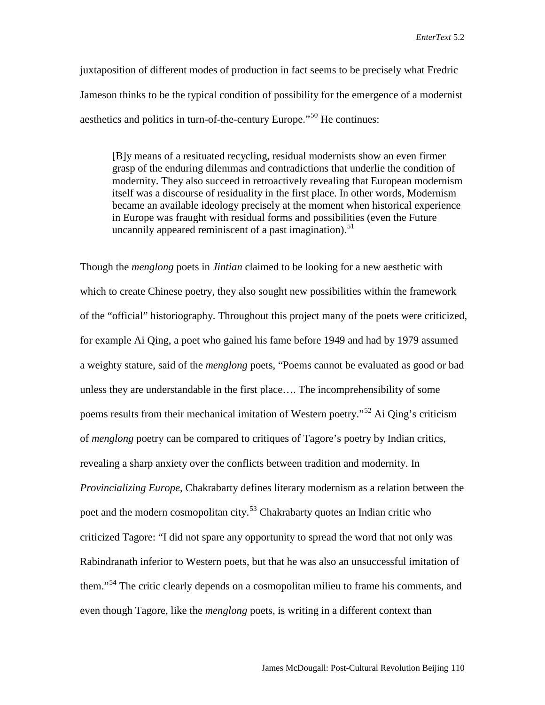juxtaposition of different modes of production in fact seems to be precisely what Fredric Jameson thinks to be the typical condition of possibility for the emergence of a modernist aesthetics and politics in turn-of-the-century Europe."<sup>[50](#page-26-47)</sup> He continues:

[B]y means of a resituated recycling, residual modernists show an even firmer grasp of the enduring dilemmas and contradictions that underlie the condition of modernity. They also succeed in retroactively revealing that European modernism itself was a discourse of residuality in the first place. In other words, Modernism became an available ideology precisely at the moment when historical experience in Europe was fraught with residual forms and possibilities (even the Future uncannily appeared reminiscent of a past imagination). $^{51}$  $^{51}$  $^{51}$ 

Though the *menglong* poets in *Jintian* claimed to be looking for a new aesthetic with which to create Chinese poetry, they also sought new possibilities within the framework of the "official" historiography. Throughout this project many of the poets were criticized, for example Ai Qing, a poet who gained his fame before 1949 and had by 1979 assumed a weighty stature, said of the *menglong* poets, "Poems cannot be evaluated as good or bad unless they are understandable in the first place…. The incomprehensibility of some poems results from their mechanical imitation of Western poetry."[52](#page-26-49) Ai Qing's criticism of *menglong* poetry can be compared to critiques of Tagore's poetry by Indian critics, revealing a sharp anxiety over the conflicts between tradition and modernity. In *Provincializing Europe*, Chakrabarty defines literary modernism as a relation between the poet and the modern cosmopolitan city.<sup>[53](#page-26-50)</sup> Chakrabarty quotes an Indian critic who criticized Tagore: "I did not spare any opportunity to spread the word that not only was Rabindranath inferior to Western poets, but that he was also an unsuccessful imitation of them."[54](#page-26-51) The critic clearly depends on a cosmopolitan milieu to frame his comments, and even though Tagore, like the *menglong* poets, is writing in a different context than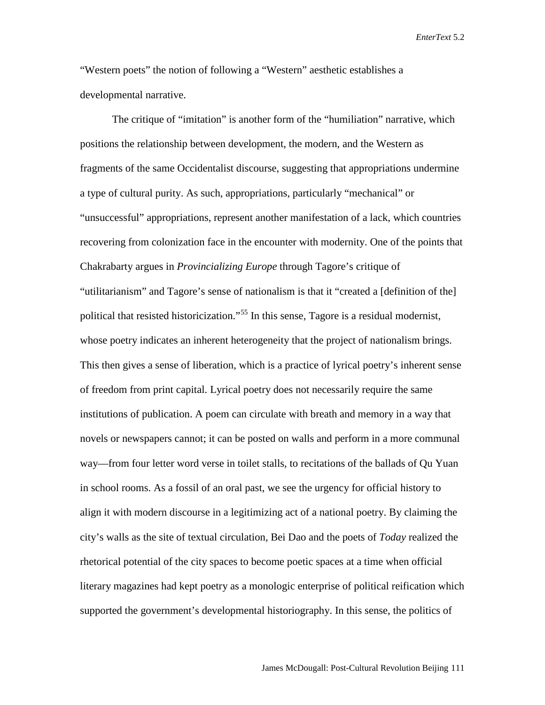"Western poets" the notion of following a "Western" aesthetic establishes a developmental narrative.

The critique of "imitation" is another form of the "humiliation" narrative, which positions the relationship between development, the modern, and the Western as fragments of the same Occidentalist discourse, suggesting that appropriations undermine a type of cultural purity. As such, appropriations, particularly "mechanical" or "unsuccessful" appropriations, represent another manifestation of a lack, which countries recovering from colonization face in the encounter with modernity. One of the points that Chakrabarty argues in *Provincializing Europe* through Tagore's critique of "utilitarianism" and Tagore's sense of nationalism is that it "created a [definition of the] political that resisted historicization."<sup>[55](#page-26-52)</sup> In this sense, Tagore is a residual modernist, whose poetry indicates an inherent heterogeneity that the project of nationalism brings. This then gives a sense of liberation, which is a practice of lyrical poetry's inherent sense of freedom from print capital. Lyrical poetry does not necessarily require the same institutions of publication. A poem can circulate with breath and memory in a way that novels or newspapers cannot; it can be posted on walls and perform in a more communal way—from four letter word verse in toilet stalls, to recitations of the ballads of Qu Yuan in school rooms. As a fossil of an oral past, we see the urgency for official history to align it with modern discourse in a legitimizing act of a national poetry. By claiming the city's walls as the site of textual circulation, Bei Dao and the poets of *Today* realized the rhetorical potential of the city spaces to become poetic spaces at a time when official literary magazines had kept poetry as a monologic enterprise of political reification which supported the government's developmental historiography. In this sense, the politics of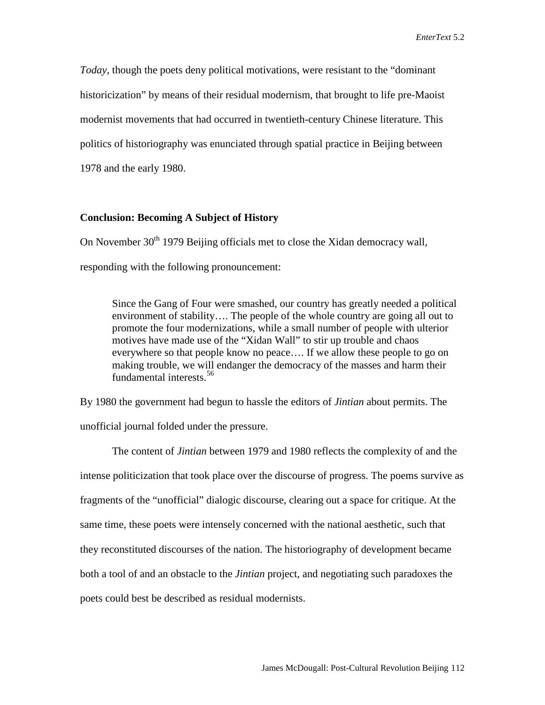*Today*, though the poets deny political motivations, were resistant to the "dominant historicization" by means of their residual modernism, that brought to life pre-Maoist modernist movements that had occurred in twentieth-century Chinese literature. This politics of historiography was enunciated through spatial practice in Beijing between 1978 and the early 1980.

#### **Conclusion: Becoming A Subject of History**

On November  $30<sup>th</sup>$  1979 Beijing officials met to close the Xidan democracy wall, responding with the following pronouncement:

Since the Gang of Four were smashed, our country has greatly needed a political environment of stability…. The people of the whole country are going all out to promote the four modernizations, while a small number of people with ulterior motives have made use of the "Xidan Wall" to stir up trouble and chaos everywhere so that people know no peace…. If we allow these people to go on making trouble, we will endanger the democracy of the masses and harm their fundamental interests. [56](#page-26-53)

By 1980 the government had begun to hassle the editors of *Jintian* about permits. The unofficial journal folded under the pressure.

The content of *Jintian* between 1979 and 1980 reflects the complexity of and the intense politicization that took place over the discourse of progress. The poems survive as fragments of the "unofficial" dialogic discourse, clearing out a space for critique. At the same time, these poets were intensely concerned with the national aesthetic, such that they reconstituted discourses of the nation. The historiography of development became both a tool of and an obstacle to the *Jintian* project, and negotiating such paradoxes the poets could best be described as residual modernists.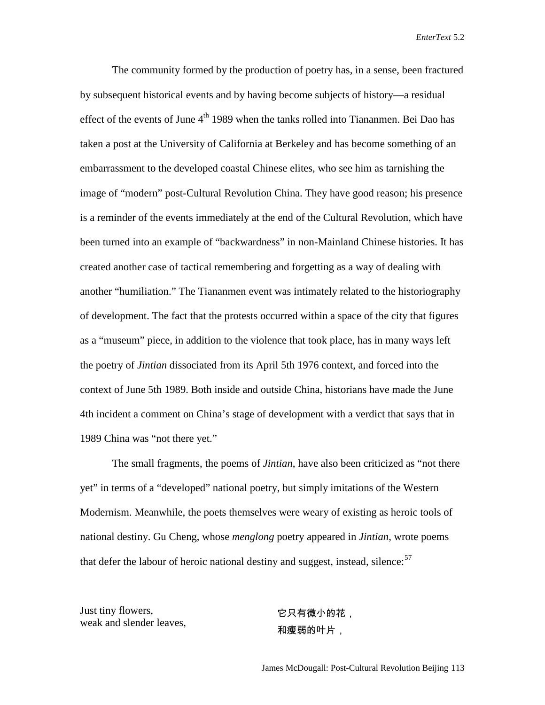The community formed by the production of poetry has, in a sense, been fractured by subsequent historical events and by having become subjects of history—a residual effect of the events of June  $4<sup>th</sup>$  1989 when the tanks rolled into Tiananmen. Bei Dao has taken a post at the University of California at Berkeley and has become something of an embarrassment to the developed coastal Chinese elites, who see him as tarnishing the image of "modern" post-Cultural Revolution China. They have good reason; his presence is a reminder of the events immediately at the end of the Cultural Revolution, which have been turned into an example of "backwardness" in non-Mainland Chinese histories. It has created another case of tactical remembering and forgetting as a way of dealing with another "humiliation." The Tiananmen event was intimately related to the historiography of development. The fact that the protests occurred within a space of the city that figures as a "museum" piece, in addition to the violence that took place, has in many ways left the poetry of *Jintian* dissociated from its April 5th 1976 context, and forced into the context of June 5th 1989. Both inside and outside China, historians have made the June 4th incident a comment on China's stage of development with a verdict that says that in 1989 China was "not there yet."

The small fragments, the poems of *Jintian*, have also been criticized as "not there yet" in terms of a "developed" national poetry, but simply imitations of the Western Modernism. Meanwhile, the poets themselves were weary of existing as heroic tools of national destiny. Gu Cheng, whose *menglong* poetry appeared in *Jintian*, wrote poems that defer the labour of heroic national destiny and suggest, instead, silence: $57$ 

Just tiny flowers, weak and slender leaves,

它只有微小的花, 和瘦弱的叶片,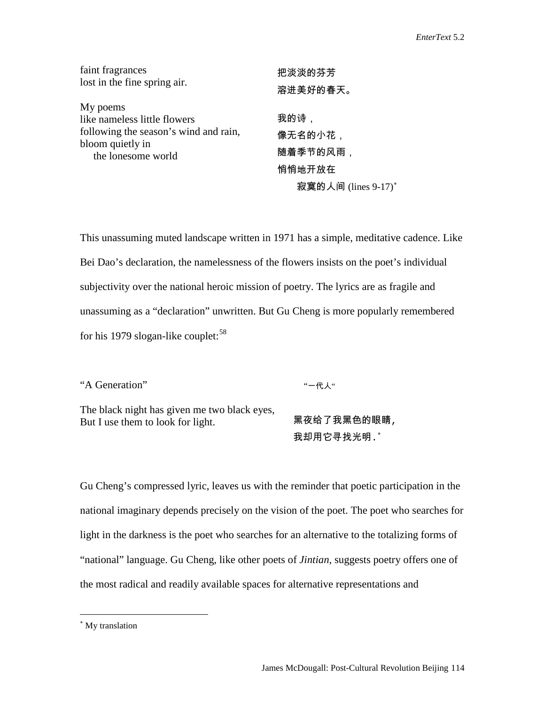| faint fragrances                       | 把淡淡的芬芳              |
|----------------------------------------|---------------------|
| lost in the fine spring air.           | 溶进美好的春天。            |
| My poems                               |                     |
| like nameless little flowers           | 我的诗,                |
| following the season's wind and rain,  | 像无名的小花,             |
| bloom quietly in<br>the lonesome world | 随着季节的风雨,            |
|                                        | 悄悄地开放在              |
|                                        | 寂寞的人间 (lines 9-17)* |

This unassuming muted landscape written in 1971 has a simple, meditative cadence. Like Bei Dao's declaration, the namelessness of the flowers insists on the poet's individual subjectivity over the national heroic mission of poetry. The lyrics are as fragile and unassuming as a "declaration" unwritten. But Gu Cheng is more popularly remembered for his 1979 slogan-like couplet: $58$ 

"A Generation"

"一代人"

The black night has given me two black eyes, But I use them to look for light.

黑夜给了我黑色的眼睛, 我却用它寻找光明.[∗](#page-24-1)

Gu Cheng's compressed lyric, leaves us with the reminder that poetic participation in the national imaginary depends precisely on the vision of the poet. The poet who searches for light in the darkness is the poet who searches for an alternative to the totalizing forms of "national" language. Gu Cheng, like other poets of *Jintian*, suggests poetry offers one of the most radical and readily available spaces for alternative representations and

 $\overline{a}$ 

<span id="page-24-1"></span><span id="page-24-0"></span><sup>∗</sup> My translation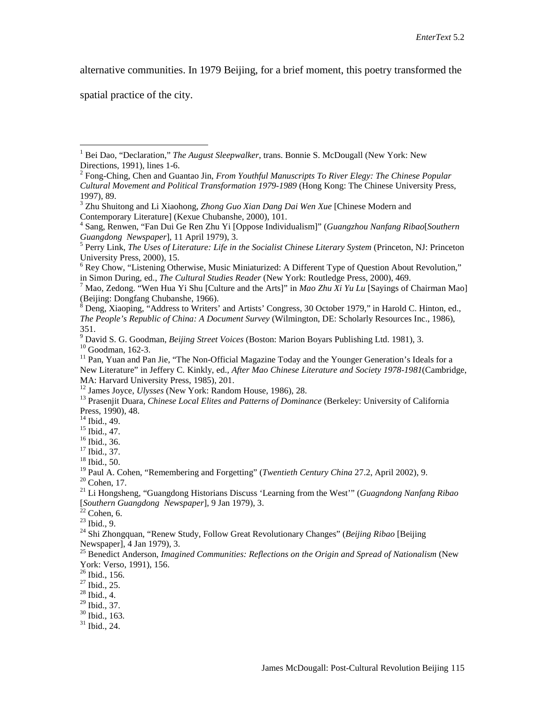alternative communities. In 1979 Beijing, for a brief moment, this poetry transformed the

spatial practice of the city.

in Simon During, ed., *The Cultural Studies Reader* (New York: Routledge Press, 2000), 469.<br><sup>7</sup> Mao, Zedong. "Wen Hua Yi Shu [Culture and the Arts]" in *Mao Zhu Xi Yu Lu* [Sayings of Chairman Mao] (Beijing: Dongfang Chuban

 $8$  Deng, Xiaoping, "Address to Writers' and Artists' Congress, 30 October 1979," in Harold C. Hinton, ed., *The People's Republic of China: A Document Survey* (Wilmington, DE: Scholarly Resources Inc., 1986), 351.<br><sup>9</sup> David S. G. Goodman, *Beijing Street Voices* (Boston: Marion Boyars Publishing Ltd. 1981), 3.

<sup>10</sup> Goodman, 162-3.<br><sup>11</sup> Pan. Yuan and Pan Jie, "The Non-Official Magazine Today and the Younger Generation's Ideals for a

<sup>12</sup> James Joyce, *Ulysses* (New York: Random House, 1986), 28.<br><sup>13</sup> Prasenjit Duara, *Chinese Local Elites and Patterns of Dominance* (Berkeley: University of California Press, 1990), 48.<br><sup>14</sup> Ibid., 49.

<sup>15</sup> Ibid., 47.<br><sup>16</sup> Ibid., 36.<br><sup>17</sup> Ibid., 37.<br><sup>18</sup> Ibid., 50.<br><sup>19</sup> Paul A. Cohen, "Remembering and Forgetting" (*Twentieth Century China* 27.2, April 2002), 9.

<sup>20</sup> Cohen, 17.<br><sup>21</sup> Li Hongsheng, "Guangdong Historians Discuss 'Learning from the West'" (*Guagndong Nanfang Ribao i* 

[*Southern Guangdong Newspaper*], 9 Jan 1979), 3.<br><sup>22</sup> Cohen, 6.<br><sup>23</sup> Ibid., 9.<br><sup>24</sup> Shi Zhongquan, "Renew Study, Follow Great Revolutionary Changes" (*Beijing Ribao* [Beijing<br>Newspaper], 4 Jan 1979), 3.

<sup>25</sup> Benedict Anderson, *Imagined Communities: Reflections on the Origin and Spread of Nationalism* (New York: Verso, 1991), 156.<br><sup>26</sup> Ibid., 156.

 $^{27}$  Ibid., 25.<br><sup>28</sup> Ibid., 4.<br><sup>29</sup> Ibid., 37.

 $\frac{30}{31}$  Ibid., 163.  $\frac{31}{10}$  Ibid., 24.

<span id="page-25-0"></span><sup>&</sup>lt;sup>1</sup> Bei Dao, "Declaration," *The August Sleepwalker*, trans. Bonnie S. McDougall (New York: New Directions, 1991), lines 1-6.

<span id="page-25-1"></span><sup>&</sup>lt;sup>2</sup> Fong-Ching, Chen and Guantao Jin, *From Youthful Manuscripts To River Elegy: The Chinese Popular Cultural Movement and Political Transformation 1979-1989* (Hong Kong: The Chinese University Press, 1997), 89.

<sup>3</sup> Zhu Shuitong and Li Xiaohong, *Zhong Guo Xian Dang Dai Wen Xue* [Chinese Modern and Contemporary Literature] (Kexue Chubanshe, 2000), 101.

<sup>4</sup> Sang, Renwen, "Fan Dui Ge Ren Zhu Yi [Oppose Individualism]" (*Guangzhou Nanfang Ribao*[*Southern Guangdong Newspaper*], 11 April 1979), 3.<br><sup>5</sup> Perry Link, *The Uses of Literature: Life in the Socialist Chinese Literary System* (Princeton, NJ: Princeton

University Press, 2000), 15.<br><sup>6</sup> Rey Chow, "Listening Otherwise, Music Miniaturized: A Different Type of Question About Revolution,"

New Literature" in Jeffery C. Kinkly, ed., *After Mao Chinese Literature and Society 1978-1981* (Cambridge, MA: Harvard University Press, 1985), 201.